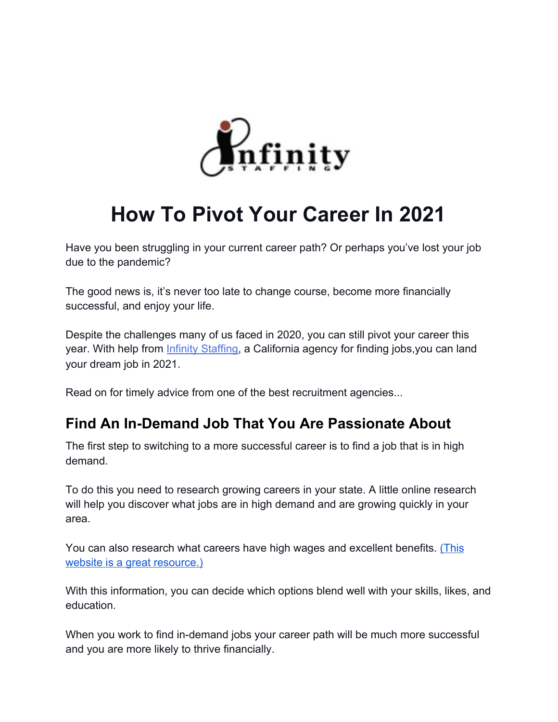

# **How To Pivot Your Career In 2021**

Have you been struggling in your current career path? Or perhaps you've lost your job due to the pandemic?

The good news is, it's never too late to change course, become more financially successful, and enjoy your life.

Despite the challenges many of us faced in 2020, you can still pivot your career this year. With help from *Infinity Staffing*, a California agency for finding jobs, you can land your dream job in 2021.

Read on for timely advice from one of the best recruitment agencies...

### **Find An In-Demand Job That You Are Passionate About**

The first step to switching to a more successful career is to find a job that is in high demand.

To do this you need to research growing careers in your state. A little online research will help you discover what jobs are in high demand and are growing quickly in your area.

You can also research what careers have high wages and excellent benefits. [\(This](https://www.bls.gov/ooh/fastest-growing.htm) [website is a great resource.\)](https://www.bls.gov/ooh/fastest-growing.htm)

With this information, you can decide which options blend well with your skills, likes, and education.

When you work to find in-demand jobs your career path will be much more successful and you are more likely to thrive financially.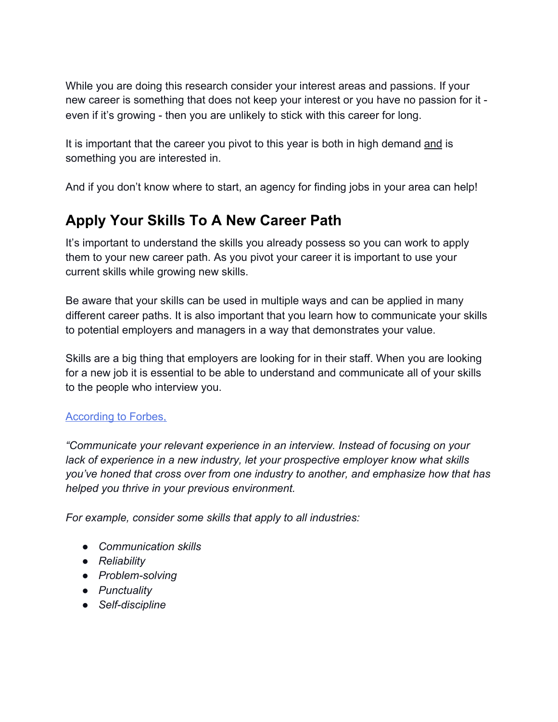While you are doing this research consider your interest areas and passions. If your new career is something that does not keep your interest or you have no passion for it even if it's growing - then you are unlikely to stick with this career for long.

It is important that the career you pivot to this year is both in high demand and is something you are interested in.

And if you don't know where to start, an agency for finding jobs in your area can help!

## **Apply Your Skills To A New Career Path**

It's important to understand the skills you already possess so you can work to apply them to your new career path. As you pivot your career it is important to use your current skills while growing new skills.

Be aware that your skills can be used in multiple ways and can be applied in many different career paths. It is also important that you learn how to communicate your skills to potential employers and managers in a way that demonstrates your value.

Skills are a big thing that employers are looking for in their staff. When you are looking for a new job it is essential to be able to understand and communicate all of your skills to the people who interview you.

### [According to Forbes,](https://www.forbes.com/sites/ashleystahl/2020/10/06/how-to-make-a-successful-career-pivot-during-covid/?sh=1ad66e9bb3d8)

*"Communicate your relevant experience in an interview. Instead of focusing on your lack of experience in a new industry, let your prospective employer know what skills you've honed that cross over from one industry to another, and emphasize how that has helped you thrive in your previous environment.*

*For example, consider some skills that apply to all industries:*

- *● Communication skills*
- *● Reliability*
- *● Problem-solving*
- *● Punctuality*
- *● Self-discipline*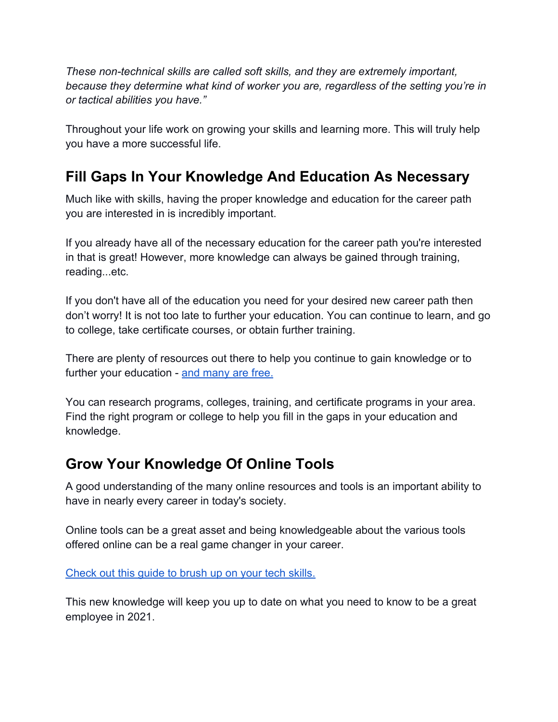*These non-technical skills are called soft skills, and they are extremely important, because they determine what kind of worker you are, regardless of the setting you're in or tactical abilities you have."*

Throughout your life work on growing your skills and learning more. This will truly help you have a more successful life.

### **Fill Gaps In Your Knowledge And Education As Necessary**

Much like with skills, having the proper knowledge and education for the career path you are interested in is incredibly important.

If you already have all of the necessary education for the career path you're interested in that is great! However, more knowledge can always be gained through training, reading...etc.

If you don't have all of the education you need for your desired new career path then don't worry! It is not too late to further your education. You can continue to learn, and go to college, take certificate courses, or obtain further training.

There are plenty of resources out there to help you continue to gain knowledge or to further your education - [and many are free.](https://www.monster.com/career-advice/article/free-job-training)

You can research programs, colleges, training, and certificate programs in your area. Find the right program or college to help you fill in the gaps in your education and knowledge.

### **Grow Your Knowledge Of Online Tools**

A good understanding of the many online resources and tools is an important ability to have in nearly every career in today's society.

Online tools can be a great asset and being knowledgeable about the various tools offered online can be a real game changer in your career.

[Check out this guide to brush up on your tech skills.](https://www.onlinecoursereport.com/30-most-lucrative-skills-you-can-learn-online/)

This new knowledge will keep you up to date on what you need to know to be a great employee in 2021.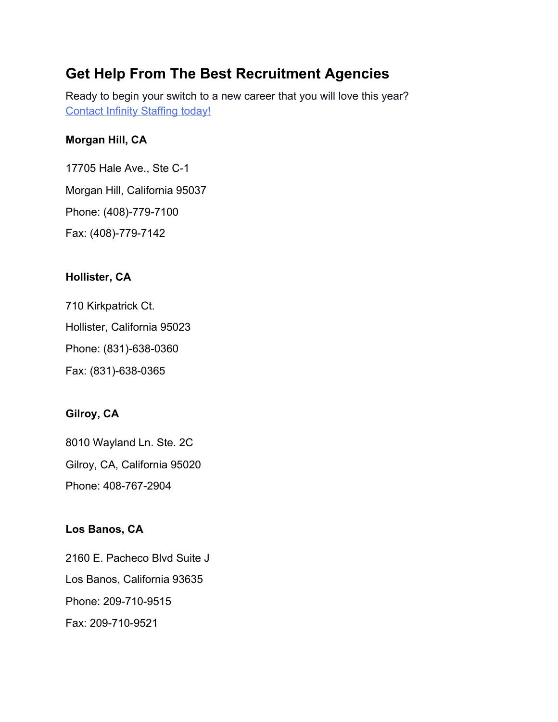### **Get Help From The Best Recruitment Agencies**

Ready to begin your switch to a new career that you will love this year? [Contact Infinity Staffing today!](https://infinity-staffing.biz/contact/)

#### **Morgan Hill, CA**

17705 Hale Ave., Ste C-1 Morgan Hill, California 95037 Phone: (408)-779-7100 Fax: (408)-779-7142

### **Hollister, CA**

710 Kirkpatrick Ct. Hollister, California 95023 Phone: (831)-638-0360 Fax: (831)-638-0365

### **Gilroy, CA**

8010 Wayland Ln. Ste. 2C Gilroy, CA, California 95020 Phone: 408-767-2904

### **Los Banos, CA**

2160 E. Pacheco Blvd Suite J Los Banos, California 93635 Phone: 209-710-9515 Fax: 209-710-9521